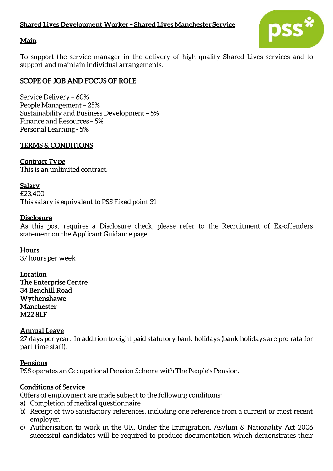

# Main

To support the service manager in the delivery of high quality Shared Lives services and to support and maintain individual arrangements.

# **SCOPE OF JOB AND FOCUS OF ROLE**

Service Delivery - 60% People Management - 25% Sustainability and Business Development - 5% Finance and Resources - 5% Personal Learning - 5%

## **TERMS & CONDITIONS**

**Contract Type** This is an unlimited contract.

**Salary** £23.400

This salary is equivalent to PSS Fixed point 31

## **Disclosure**

As this post requires a Disclosure check, please refer to the Recruitment of Ex-offenders statement on the Applicant Guidance page.

# **Hours**

37 hours per week

Location **The Enterprise Centre** 34 Benchill Road Wythenshawe Manchester **M228LF** 

# **Annual Leave**

27 days per year. In addition to eight paid statutory bank holidays (bank holidays are pro rata for part-time staff).

# **Pensions**

PSS operates an Occupational Pension Scheme with The People's Pension.

# **Conditions of Service**

Offers of employment are made subject to the following conditions:

- a) Completion of medical questionnaire
- b) Receipt of two satisfactory references, including one reference from a current or most recent employer.
- c) Authorisation to work in the UK. Under the Immigration, Asylum & Nationality Act 2006 successful candidates will be required to produce documentation which demonstrates their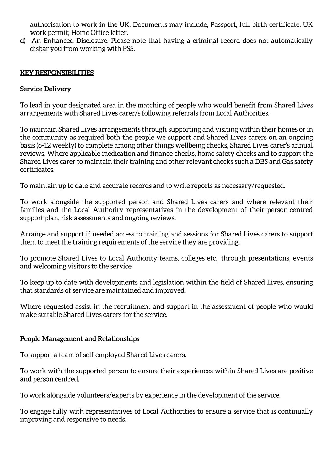authorisation to work in the UK. Documents may include; Passport; full birth certificate; UK work permit; Home Office letter.

d) An Enhanced Disclosure. Please note that having a criminal record does not automatically disbar you from working with PSS.

## **KEY RESPONSIBILITIES**

### **Service Delivery**

To lead in your designated area in the matching of people who would benefit from Shared Lives arrangements with Shared Lives carer/s following referrals from Local Authorities.

To maintain Shared Lives arrangements through supporting and visiting within their homes or in the community as required both the people we support and Shared Lives carers on an ongoing basis (6-12 weekly) to complete among other things wellbeing checks, Shared Lives carer's annual reviews. Where applicable medication and finance checks, home safety checks and to support the Shared Lives carer to maintain their training and other relevant checks such a DBS and Gas safety certificates.

To maintain up to date and accurate records and to write reports as necessary/requested.

To work alongside the supported person and Shared Lives carers and where relevant their families and the Local Authority representatives in the development of their person-centred support plan, risk assessments and ongoing reviews.

Arrange and support if needed access to training and sessions for Shared Lives carers to support them to meet the training requirements of the service they are providing.

To promote Shared Lives to Local Authority teams, colleges etc., through presentations, events and welcoming visitors to the service.

To keep up to date with developments and legislation within the field of Shared Lives, ensuring that standards of service are maintained and improved.

Where requested assist in the recruitment and support in the assessment of people who would make suitable Shared Lives carers for the service.

# **People Management and Relationships**

To support a team of self-employed Shared Lives carers.

To work with the supported person to ensure their experiences within Shared Lives are positive and person centred.

To work alongside volunteers/experts by experience in the development of the service.

To engage fully with representatives of Local Authorities to ensure a service that is continually improving and responsive to needs.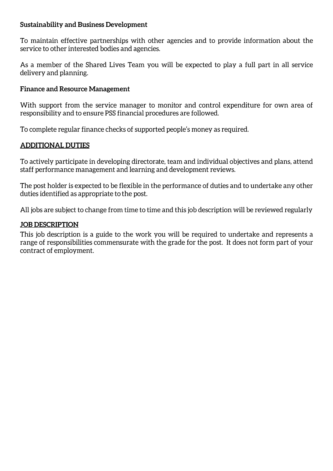# **Sustainability and Business Development**

To maintain effective partnerships with other agencies and to provide information about the service to other interested bodies and agencies.

As a member of the Shared Lives Team you will be expected to play a full part in all service delivery and planning.

### **Finance and Resource Management**

With support from the service manager to monitor and control expenditure for own area of responsibility and to ensure PSS financial procedures are followed.

To complete regular finance checks of supported people's money as required.

# **ADDITIONAL DUTIES**

To actively participate in developing directorate, team and individual objectives and plans, attend staff performance management and learning and development reviews.

The post holder is expected to be flexible in the performance of duties and to undertake any other duties identified as appropriate to the post.

All jobs are subject to change from time to time and this job description will be reviewed regularly

## **JOB DESCRIPTION**

This job description is a guide to the work you will be required to undertake and represents a range of responsibilities commensurate with the grade for the post. It does not form part of your contract of employment.